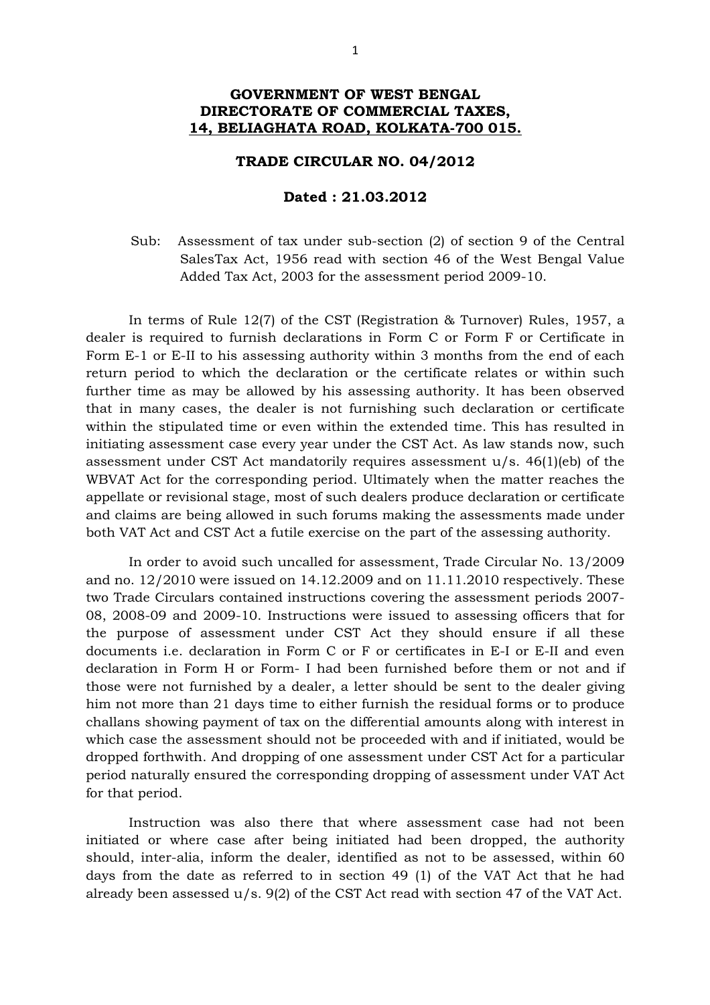## **GOVERNMENT OF WEST BENGAL DIRECTORATE OF COMMERCIAL TAXES, 14, BELIAGHATA ROAD, KOLKATA-700 015.**

## **TRADE CIRCULAR NO. 04/2012**

## **Dated : 21.03.2012**

Sub: Assessment of tax under sub-section (2) of section 9 of the Central Sales Tax Act, 1956 read with section 46 of the West Bengal Value Added Tax Act, 2003 for the assessment period 2009-10.

In terms of Rule 12(7) of the CST (Registration & Turnover) Rules, 1957, a dealer is required to furnish declarations in Form C or Form F or Certificate in Form E-1 or E-II to his assessing authority within 3 months from the end of each return period to which the declaration or the certificate relates or within such further time as may be allowed by his assessing authority. It has been observed that in many cases, the dealer is not furnishing such declaration or certificate within the stipulated time or even within the extended time. This has resulted in initiating assessment case every year under the CST Act. As law stands now, such assessment under CST Act mandatorily requires assessment u/s. 46(1)(eb) of the WBVAT Act for the corresponding period. Ultimately when the matter reaches the appellate or revisional stage, most of such dealers produce declaration or certificate and claims are being allowed in such forums making the assessments made under both VAT Act and CST Act a futile exercise on the part of the assessing authority.

In order to avoid such uncalled for assessment, Trade Circular No. 13/2009 and no. 12/2010 were issued on 14.12.2009 and on 11.11.2010 respectively. These two Trade Circulars contained instructions covering the assessment periods 2007- 08, 2008-09 and 2009-10. Instructions were issued to assessing officers that for the purpose of assessment under CST Act they should ensure if all these documents i.e. declaration in Form C or F or certificates in E-I or E-II and even declaration in Form H or Form- I had been furnished before them or not and if those were not furnished by a dealer, a letter should be sent to the dealer giving him not more than 21 days time to either furnish the residual forms or to produce challans showing payment of tax on the differential amounts along with interest in which case the assessment should not be proceeded with and if initiated, would be dropped forthwith. And dropping of one assessment under CST Act for a particular period naturally ensured the corresponding dropping of assessment under VAT Act for that period.

Instruction was also there that where assessment case had not been initiated or where case after being initiated had been dropped, the authority should, inter-alia, inform the dealer, identified as not to be assessed, within 60 days from the date as referred to in section 49 (1) of the VAT Act that he had already been assessed u/s. 9(2) of the CST Act read with section 47 of the VAT Act.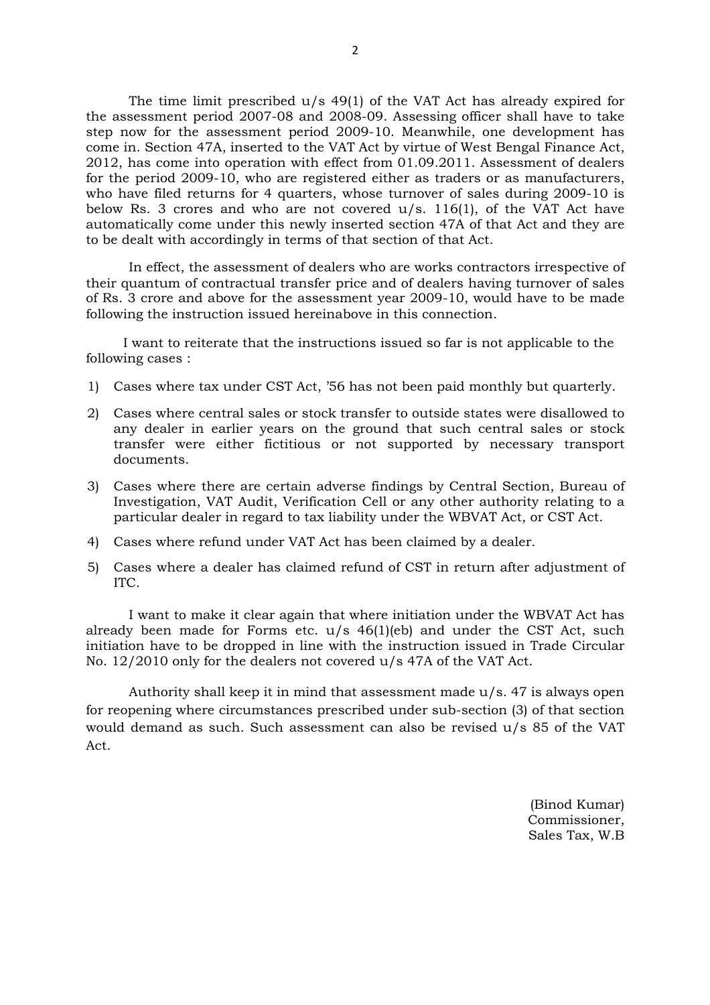The time limit prescribed  $u/s$  49(1) of the VAT Act has already expired for the assessment period 2007-08 and 2008-09. Assessing officer shall have to take step now for the assessment period 2009-10. Meanwhile, one development has come in. Section 47A, inserted to the VAT Act by virtue of West Bengal Finance Act, 2012, has come into operation with effect from 01.09.2011. Assessment of dealers for the period 2009-10, who are registered either as traders or as manufacturers, who have filed returns for 4 quarters, whose turnover of sales during 2009-10 is below Rs. 3 crores and who are not covered  $u/s$ . 116(1), of the VAT Act have automatically come under this newly inserted section 47A of that Act and they are to be dealt with accordingly in terms of that section of that Act.

In effect, the assessment of dealers who are works contractors irrespective of their quantum of contractual transfer price and of dealers having turnover of sales of Rs. 3 crore and above for the assessment year 2009-10, would have to be made following the instruction issued hereinabove in this connection.

 I want to reiterate that the instructions issued so far is not applicable to the following cases :

- 1) Cases where tax under CST Act, '56 has not been paid monthly but quarterly.
- 2) Cases where central sales or stock transfer to outside states were disallowed to any dealer in earlier years on the ground that such central sales or stock transfer were either fictitious or not supported by necessary transport documents.
- 3) Cases where there are certain adverse findings by Central Section, Bureau of Investigation, VAT Audit, Verification Cell or any other authority relating to a particular dealer in regard to tax liability under the WBVAT Act, or CST Act.
- 4) Cases where refund under VAT Act has been claimed by a dealer.
- 5) Cases where a dealer has claimed refund of CST in return after adjustment of ITC.

I want to make it clear again that where initiation under the WBVAT Act has already been made for Forms etc.  $u/s$  46(1)(eb) and under the CST Act, such initiation have to be dropped in line with the instruction issued in Trade Circular No. 12/2010 only for the dealers not covered u/s 47A of the VAT Act.

Authority shall keep it in mind that assessment made u/s. 47 is always open for reopening where circumstances prescribed under sub-section (3) of that section would demand as such. Such assessment can also be revised u/s 85 of the VAT Act.

> (Binod Kumar) Commissioner, Sales Tax, W.B